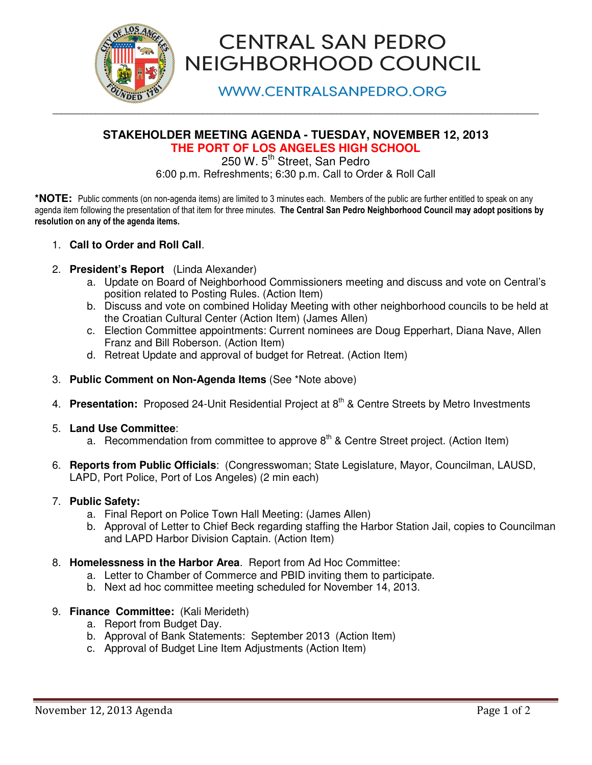

# **CENTRAL SAN PEDRO** NEIGHBORHOOD COUNCIL

**WWW.CENTRALSANPEDRO.ORG** 

# **STAKEHOLDER MEETING AGENDA - TUESDAY, NOVEMBER 12, 2013 THE PORT OF LOS ANGELES HIGH SCHOOL**

**\_\_\_\_\_\_\_\_\_\_\_\_\_\_\_\_\_\_\_\_\_\_\_\_\_\_\_\_\_\_\_\_\_\_\_\_\_\_\_\_\_\_\_\_\_\_\_\_\_\_\_\_\_\_\_\_\_\_\_\_\_\_\_\_\_\_\_\_\_\_\_\_\_\_\_\_\_\_\_\_\_\_\_\_\_\_\_\_\_\_\_\_\_\_\_\_\_\_\_\_\_\_\_\_\_\_\_\_\_\_\_\_\_** 

250 W. 5<sup>th</sup> Street, San Pedro 6:00 p.m. Refreshments; 6:30 p.m. Call to Order & Roll Call

**\*NOTE:** Public comments (on non-agenda items) are limited to 3 minutes each. Members of the public are further entitled to speak on any agenda item following the presentation of that item for three minutes. The Central San Pedro Neighborhood Council may adopt positions by resolution on any of the agenda items.

- 1. **Call to Order and Roll Call**.
- 2. **President's Report** (Linda Alexander)
	- a. Update on Board of Neighborhood Commissioners meeting and discuss and vote on Central's position related to Posting Rules. (Action Item)
	- b. Discuss and vote on combined Holiday Meeting with other neighborhood councils to be held at the Croatian Cultural Center (Action Item) (James Allen)
	- c. Election Committee appointments: Current nominees are Doug Epperhart, Diana Nave, Allen Franz and Bill Roberson. (Action Item)
	- d. Retreat Update and approval of budget for Retreat. (Action Item)
- 3. **Public Comment on Non-Agenda Items** (See \*Note above)
- 4. **Presentation:** Proposed 24-Unit Residential Project at 8<sup>th</sup> & Centre Streets by Metro Investments
- 5. **Land Use Committee**:
	- a. Recommendation from committee to approve  $8<sup>th</sup>$  & Centre Street project. (Action Item)
- 6. **Reports from Public Officials**: (Congresswoman; State Legislature, Mayor, Councilman, LAUSD, LAPD, Port Police, Port of Los Angeles) (2 min each)

#### 7. **Public Safety:**

- a. Final Report on Police Town Hall Meeting: (James Allen)
- b. Approval of Letter to Chief Beck regarding staffing the Harbor Station Jail, copies to Councilman and LAPD Harbor Division Captain. (Action Item)
- 8. **Homelessness in the Harbor Area**. Report from Ad Hoc Committee:
	- a. Letter to Chamber of Commerce and PBID inviting them to participate.
	- b. Next ad hoc committee meeting scheduled for November 14, 2013.
- 9. **Finance Committee:** (Kali Merideth)
	- a. Report from Budget Day.
	- b. Approval of Bank Statements: September 2013 (Action Item)
	- c. Approval of Budget Line Item Adjustments (Action Item)